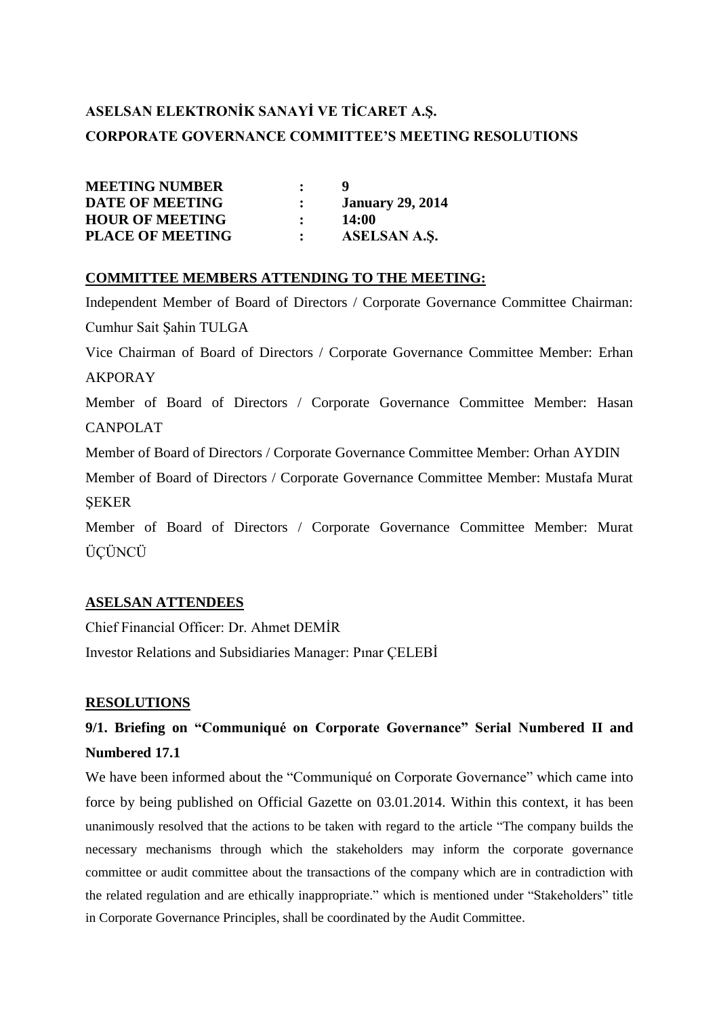# **ASELSAN ELEKTRONİK SANAYİ VE TİCARET A.Ş. CORPORATE GOVERNANCE COMMITTEE'S MEETING RESOLUTIONS**

| <b>MEETING NUMBER</b>   |                         |
|-------------------------|-------------------------|
| <b>DATE OF MEETING</b>  | <b>January 29, 2014</b> |
| <b>HOUR OF MEETING</b>  | 14:00                   |
| <b>PLACE OF MEETING</b> | <b>ASELSAN A.S.</b>     |

#### **COMMITTEE MEMBERS ATTENDING TO THE MEETING:**

Independent Member of Board of Directors / Corporate Governance Committee Chairman: Cumhur Sait Şahin TULGA Vice Chairman of Board of Directors / Corporate Governance Committee Member: Erhan AKPORAY Member of Board of Directors / Corporate Governance Committee Member: Hasan CANPOLAT Member of Board of Directors / Corporate Governance Committee Member: Orhan AYDIN Member of Board of Directors / Corporate Governance Committee Member: Mustafa Murat ŞEKER

Member of Board of Directors / Corporate Governance Committee Member: Murat ÜÇÜNCÜ

#### **ASELSAN ATTENDEES**

Chief Financial Officer: Dr. Ahmet DEMİR Investor Relations and Subsidiaries Manager: Pınar ÇELEBİ

#### **RESOLUTIONS**

## **9/1. Briefing on "Communiqué on Corporate Governance" Serial Numbered II and Numbered 17.1**

We have been informed about the "Communiqué on Corporate Governance" which came into force by being published on Official Gazette on 03.01.2014. Within this context, it has been unanimously resolved that the actions to be taken with regard to the article "The company builds the necessary mechanisms through which the stakeholders may inform the corporate governance committee or audit committee about the transactions of the company which are in contradiction with the related regulation and are ethically inappropriate." which is mentioned under "Stakeholders" title in Corporate Governance Principles, shall be coordinated by the Audit Committee.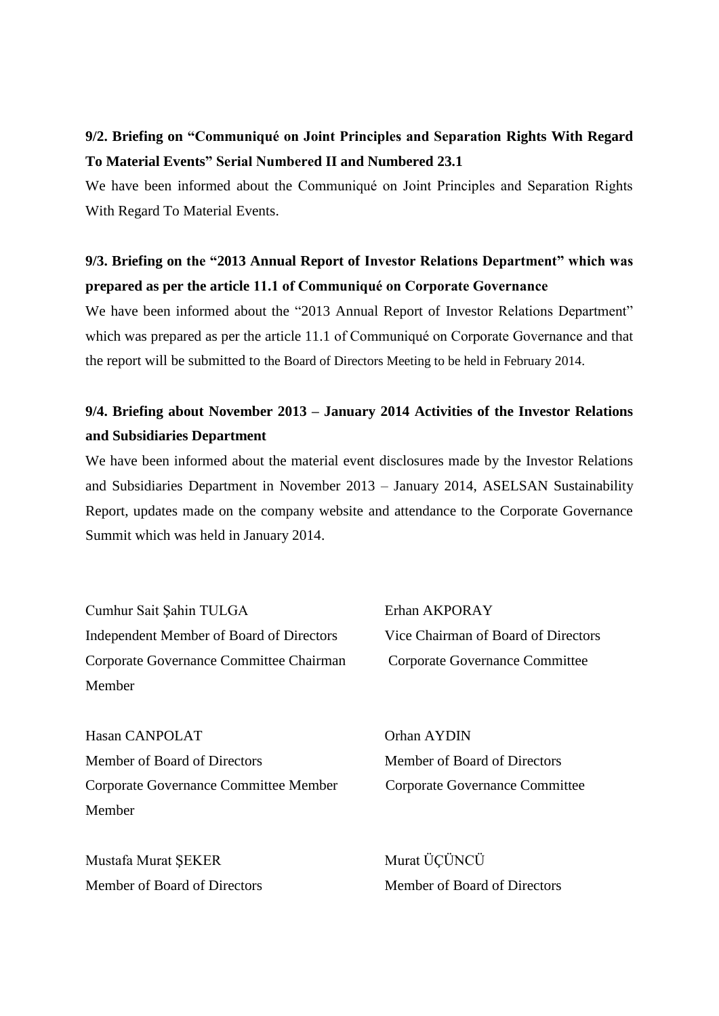## **9/2. Briefing on "Communiqué on Joint Principles and Separation Rights With Regard To Material Events" Serial Numbered II and Numbered 23.1**

We have been informed about the Communiqué on Joint Principles and Separation Rights With Regard To Material Events.

## **9/3. Briefing on the "2013 Annual Report of Investor Relations Department" which was prepared as per the article 11.1 of Communiqué on Corporate Governance**

We have been informed about the "2013 Annual Report of Investor Relations Department" which was prepared as per the article 11.1 of Communiqué on Corporate Governance and that the report will be submitted to the Board of Directors Meeting to be held in February 2014.

#### **9/4. Briefing about November 2013 – January 2014 Activities of the Investor Relations and Subsidiaries Department**

We have been informed about the material event disclosures made by the Investor Relations and Subsidiaries Department in November 2013 – January 2014, ASELSAN Sustainability Report, updates made on the company website and attendance to the Corporate Governance Summit which was held in January 2014.

Cumhur Sait Şahin TULGA Erhan AKPORAY Independent Member of Board of Directors Vice Chairman of Board of Directors Corporate Governance Committee Chairman Corporate Governance Committee Member

Hasan CANPOLAT Orhan AYDIN Member of Board of Directors Member of Board of Directors Corporate Governance Committee Member Corporate Governance Committee Member

Mustafa Murat ŞEKER Murat ÜÇÜNCÜ Member of Board of Directors Member of Board of Directors